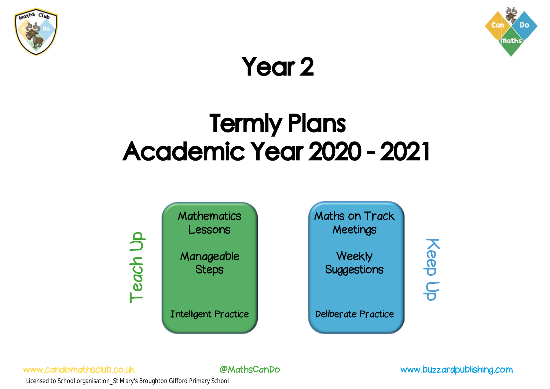



## Year 2

# Termly Plans Academic Year 2020 - 2021

**Mathematics** Lessons Manageable Steps Intelligent Practice Maths on Track **Meetings Weekly** Suggestions Deliberate Practice Teach Up Keep Up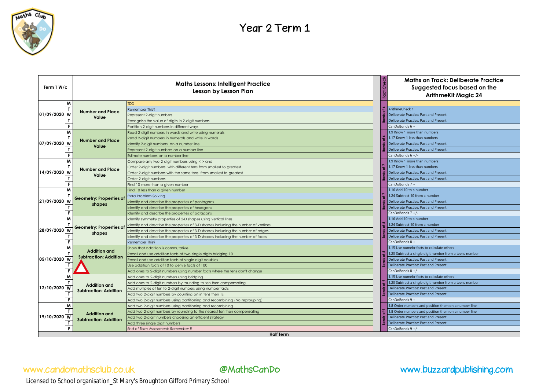

| Term 1 W/c       | <b>Maths Lessons: Intelligent Practice</b><br>Lesson by Lesson Plan |                                                                                     |  | <b>Maths on Track: Deliberate Practice</b><br>Suggested focus based on the<br><b>ArithmeKit Magic 24</b> |  |
|------------------|---------------------------------------------------------------------|-------------------------------------------------------------------------------------|--|----------------------------------------------------------------------------------------------------------|--|
| M                |                                                                     | <b>TDD</b>                                                                          |  |                                                                                                          |  |
|                  |                                                                     | Remember This?                                                                      |  | ArithmeCheck 1                                                                                           |  |
| 01/09/2020<br>W  | <b>Number and Place</b><br>Value                                    | Represent 2-digit numbers                                                           |  | Deliberate Practice: Past and Present                                                                    |  |
|                  |                                                                     | Recognise the value of digits in 2-digit numbers                                    |  | Deliberate Practice: Past and Present                                                                    |  |
|                  |                                                                     | Partition 2-digit numbers in different ways                                         |  | CanDoBonds 6 +                                                                                           |  |
| M                | <b>Number and Place</b>                                             | Read 2-digit numbers in words and write using numerals                              |  | 1.9 Know 1 more than numbers                                                                             |  |
|                  |                                                                     | Read 2-digit numbers in numerals and write in words                                 |  | 1.17 Know 1 less than numbers                                                                            |  |
| 07/09/2020 W     |                                                                     | Identify 2-digit numbers on a number line                                           |  | Deliberate Practice: Past and Present                                                                    |  |
|                  | Value                                                               | Represent 2-digit numbers on a number line                                          |  | Deliberate Practice: Past and Present                                                                    |  |
|                  |                                                                     | Estimate numbers on a number line                                                   |  | CanDoBonds 6 +/-                                                                                         |  |
|                  |                                                                     | Compare any two 2-digit numbers using < > and =                                     |  | 1.9 Know 1 more than numbers                                                                             |  |
|                  | <b>Number and Place</b>                                             | Order 2-digit numbers with different tens from smallest to greatest                 |  | 1.17 Know 1 less than numbers                                                                            |  |
| 14/09/2020<br>W  | Value                                                               | Order 2-digit numbers with the same tens from smallest to greatest                  |  | Deliberate Practice: Past and Present                                                                    |  |
|                  |                                                                     | Order 2-digit numbers                                                               |  | Deliberate Practice: Past and Present                                                                    |  |
|                  |                                                                     | Find 10 more than a given number                                                    |  | CanDoBonds 7 +                                                                                           |  |
|                  |                                                                     | Find 10 less than a given number                                                    |  | 1.16 Add 10 to a number                                                                                  |  |
|                  | <b>Geometry: Properties of</b><br>shapes                            | Extra Problem Solving                                                               |  | 1.24 Subtract 10 from a number                                                                           |  |
| 21/09/2020<br>W  |                                                                     | Identify and describe the properties of pentagons                                   |  | Deliberate Practice: Past and Present                                                                    |  |
|                  |                                                                     | Identify and describe the properties of hexagons                                    |  | Deliberate Practice: Past and Present                                                                    |  |
|                  |                                                                     | Identify and describe the properties of octagons                                    |  | CanDoBonds 7 +/-                                                                                         |  |
|                  | <b>Geometry: Properties of</b><br>shapes                            | Identify symmetry properties of 2-D shapes using vertical lines                     |  | 1.16 Add 10 to a number                                                                                  |  |
|                  |                                                                     | Identify and describe the properties of 3-D shapes including the number of vertices |  | 1.24 Subtract 10 from a number                                                                           |  |
| 28/09/2020<br>W  |                                                                     | Identify and describe the properties of 3-D shapes including the number of edges    |  | Deliberate Practice: Past and Present                                                                    |  |
|                  |                                                                     | Identify and describe the properties of 3-D shapes including the number of faces    |  | Deliberate Practice: Past and Present                                                                    |  |
|                  |                                                                     | Remember This?                                                                      |  | CanDoBonds 8 +                                                                                           |  |
|                  | <b>Addition and</b><br><b>Subtraction: Addition</b>                 | Show that addition is commutative                                                   |  | 1.15 Use numebr facts to calculate others                                                                |  |
|                  |                                                                     | Recall and use addition facts of two single digits bridging 10                      |  | 1.23 Subtract a single digit number from a teens number                                                  |  |
| 05/10/2020<br>W  |                                                                     | Recall and use addition facts of single digit doubles                               |  | Deliberate Practice: Past and Present                                                                    |  |
|                  |                                                                     | Use addition facts of 10 to derive facts of 100                                     |  | Deliberate Practice: Past and Present                                                                    |  |
|                  |                                                                     | Add ones to 2-digit numbers using number facts where the tens don't change          |  | CanDoBonds 8 +/-                                                                                         |  |
| M                |                                                                     | Add ones to 2-digit numbers using bridging                                          |  | 1.15 Use numebr facts to calculate others                                                                |  |
|                  | <b>Addition and</b>                                                 | Add ones to 2-digit numbers by rounding to ten then compensating                    |  | 1.23 Subtract a single digit number from a teens number                                                  |  |
| 12/10/2020 W     | <b>Subtraction: Addition</b>                                        | Add multiples of ten to 2-digit numbers using number facts                          |  | Deliberate Practice: Past and Present                                                                    |  |
|                  |                                                                     | Add two 2-digit numbers by counting on in tens then 1s                              |  | Deliberate Practice: Past and Present                                                                    |  |
|                  |                                                                     | Add two 2-digit numbers using partitioning and recombining (No regrouping)          |  | CanDoBonds 9 +                                                                                           |  |
|                  | <b>Addition and</b><br><b>Subtraction: Addition</b>                 | Add two 2-digit numbers using partitioning and recombining                          |  | 1.8 Order numbers and position them on a number line                                                     |  |
|                  |                                                                     | Add two 2-digit numbers by rounding to the nearest ten then compensating            |  | 1.8 Order numbers and position them on a number line                                                     |  |
| 19/10/2020 W     |                                                                     | Add two 2-digiit numbers choosing an efficient strategy                             |  | Deliberate Practice: Past and Present                                                                    |  |
|                  |                                                                     | Add three single digit numbers                                                      |  | Deliberate Practice: Past and Present                                                                    |  |
|                  |                                                                     | End of Term Assessment: Remember If                                                 |  | CanDoBonds 9 +/-                                                                                         |  |
| <b>Half Term</b> |                                                                     |                                                                                     |  |                                                                                                          |  |

## www.candomathsclub.co.uk @MathsCanDo www.buzzardpublishing.com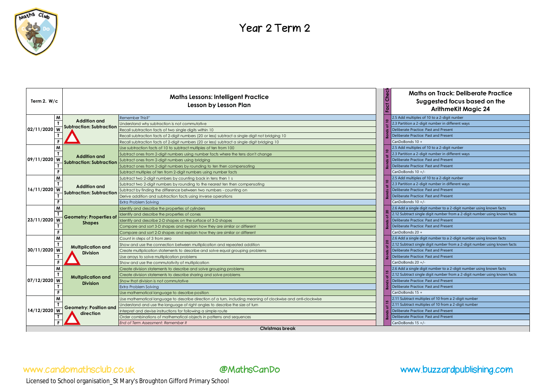

| Term 2. $W/c$                | <b>Maths Lessons: Intelligent Practice</b><br>Lesson by Lesson Plan |                                                                                                              | Che <sub>i</sub><br>운 | <b>Maths on Track: Deliberate Practice</b><br>Suggested focus based on the<br><b>ArithmeKit Magic 24</b> |  |
|------------------------------|---------------------------------------------------------------------|--------------------------------------------------------------------------------------------------------------|-----------------------|----------------------------------------------------------------------------------------------------------|--|
| W<br>02/11/2020<br>W         |                                                                     | Remember This?"                                                                                              |                       | 2.5 Add multiples of 10 to a 2-digit nunber                                                              |  |
|                              | <b>Addition and</b>                                                 | Understand why subtraction is not commutative                                                                |                       | 2.3 Partition a 2-digit number in different ways                                                         |  |
|                              | <b>Subtraction: Subtraction</b>                                     | Recall subtraction facts of two single digits within 10                                                      |                       | Deliberate Practice: Past and Present                                                                    |  |
|                              |                                                                     | Recall subtraction facts of 2-digit numbers (20 or less) subtract a single digit not bridging 10             |                       | Deliberate Practice: Past and Present                                                                    |  |
| F                            |                                                                     | Recall subtraction facts of 2-digit numbers (20 or less) subtract a single digit bridging 10                 |                       | CanDoBonds 10 +                                                                                          |  |
| M                            | <b>Addition and</b>                                                 | Use subtraction facts of 10 to subtract multiples of ten from 100                                            |                       | 2.5 Add multiples of 10 to a 2-digit nunber                                                              |  |
|                              |                                                                     | Subtract ones from 2-digit numbers using number facts where the tens don't change                            |                       | 2.3 Partition a 2-digit number in different ways                                                         |  |
| 09/11/2020 W                 | <b>Subtraction: Subtraction</b>                                     | iubtract ones from 2-digit numbers using bridging                                                            |                       | Deliberate Practice: Past and Present                                                                    |  |
|                              |                                                                     | iubtract ones from 2-digit numbers by rounding to ten then compensating                                      |                       | Deliberate Practice: Past and Present                                                                    |  |
|                              |                                                                     | Subtract multiples of ten from 2-digit numbers using number facts                                            |                       | CanDoBonds 10 +/-                                                                                        |  |
| W                            |                                                                     | Subtract two 2-digit numbers by counting back in tens then 1 s                                               |                       | 2.5 Add multiples of 10 to a 2-digit nunber                                                              |  |
|                              | <b>Addition and</b>                                                 | Subtract two 2-digit numbers by rounding to the nearest ten then compensating                                |                       | 2.3 Partition a 2-digit number in different ways                                                         |  |
| 16/11/2020<br>W              | Subtraction: Subtraction                                            | Subtract by finding the difference between two numbers - counting on                                         |                       | Deliberate Practice: Past and Present                                                                    |  |
|                              |                                                                     | Derive addition and subtraction facts using inverse operations                                               |                       | Deliberate Practice: Past and Present                                                                    |  |
|                              |                                                                     | Extra Problem Solving                                                                                        |                       | $CanDoBonds 10 + / -$                                                                                    |  |
| M                            |                                                                     | Identify and describe the properties of cylinders                                                            |                       | 2.6 Add a single digit number to a 2-digit number using known facts                                      |  |
|                              | <b>Geometry: Properties of</b>                                      | Identify and describe the properties of cones                                                                |                       | .12 Subtract single digit number from a 2-digit number using known facts                                 |  |
| 23/11/2020<br>W              | <b>Shapes</b>                                                       | dentify and describe 2-D shapes on the surface of 3-D shapes                                                 |                       | Deliberate Practice: Past and Present                                                                    |  |
|                              |                                                                     | Compare and sort 3-D shapes and explain how they are similar or different                                    |                       | Deliberate Practice: Past and Present                                                                    |  |
| F                            |                                                                     | Compare and sort 2-D shapes and explain how they are similar or different                                    |                       | CanDoBonds 20 +                                                                                          |  |
| M                            |                                                                     | Count in steps of 3 from zero                                                                                |                       | 2.6 Add a single digit number to a 2-digit number using known facts                                      |  |
|                              | <b>Multiplication and</b>                                           | Show and use the connection between multiplication and repeated addition                                     |                       | 2.12 Subtract single digit number from a 2-digit number using known facts                                |  |
| 30/11/2020<br>W              | <b>Division</b>                                                     | Create multiplication statements to describe and solve equal grouping problems                               |                       | Deliberate Practice: Past and Present                                                                    |  |
|                              |                                                                     | Use arrays to solve multiplication problems                                                                  |                       | Deliberate Practice: Past and Present                                                                    |  |
| F                            |                                                                     | Show and use the commutativity of multiplication                                                             |                       | CanDoBonds 20 +/-                                                                                        |  |
| W                            |                                                                     | Create division statements to describe and solve grouping problems                                           |                       | 2.6 Add a single digit number to a 2-digit number using known facts                                      |  |
|                              | <b>Multiplication and</b>                                           | Create division statements to describe sharing and solve problems                                            |                       | 2.12 Subtract single digit number from a 2-digit number using known facts                                |  |
| 07/12/2020<br>$\overline{w}$ | <b>Division</b>                                                     | Show that division is not commutative                                                                        |                       | Deliberate Practice: Past and Present                                                                    |  |
|                              |                                                                     | Extra Problem Solving                                                                                        |                       | Deliberate Practice: Past and Present                                                                    |  |
|                              |                                                                     | Use mathematical language to describe position                                                               |                       | CanDoBonds 15 +                                                                                          |  |
| M                            |                                                                     | Use mathematical language to describe direction of a turn, including meaning of clockwise and anti-clockwise |                       | 2.11 Subtract multiples of 10 from a 2-digit number                                                      |  |
|                              | <b>Geometry: Position and</b>                                       | Understand and use the language of right angles to describe the size of turn                                 |                       | 2.11 Subtract multiples of 10 from a 2-digit number                                                      |  |
| 14/12/2020<br>W              | direction                                                           | Interpret and devise instructions for following a simple route                                               |                       | <b>Deliberate Practice: Past and Present</b>                                                             |  |
|                              |                                                                     | Order combinations of mathematical objects in patterns and sequences                                         |                       | Deliberate Practice: Past and Present                                                                    |  |
|                              |                                                                     | End of Term Assessment: Remember It                                                                          |                       | CanDoBonds 15 +/-                                                                                        |  |
| <b>Christmas break</b>       |                                                                     |                                                                                                              |                       |                                                                                                          |  |
|                              |                                                                     |                                                                                                              |                       |                                                                                                          |  |
|                              | www.candomathsclub.co.uk                                            | @MathsCanDo                                                                                                  |                       | www.buzzardpublishing.com                                                                                |  |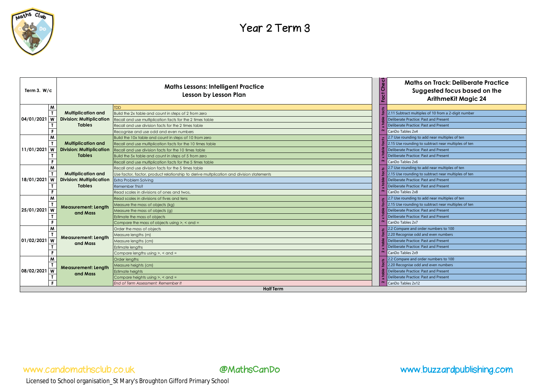

| Term 3. $W/c$            | <b>Maths Lessons: Intelligent Practice</b><br>Lesson by Lesson Plan |                                                                                          | ত<br><b>Maths on Track: Deliberate Practice</b><br>١ő<br>Suggested focus based on the<br><b>ArithmeKit Magic 24</b> |
|--------------------------|---------------------------------------------------------------------|------------------------------------------------------------------------------------------|---------------------------------------------------------------------------------------------------------------------|
| M                        |                                                                     | <b>TDD</b>                                                                               |                                                                                                                     |
|                          | <b>Multiplication and</b>                                           | Build the 2x table and count in steps of 2 from zero                                     | 2.11 Subtract multiples of 10 from a 2-digit number                                                                 |
| 04/01/2021<br>W          | <b>Division: Multiplication</b>                                     | Recall and use multiplication facts for the 2 times table                                | Deliberate Practice: Past and Present                                                                               |
|                          | <b>Tables</b>                                                       | Recall and use division facts for the 2 times table                                      | Deliberate Practice: Past and Present                                                                               |
|                          |                                                                     | Recognise and use odd and even numbers                                                   | CanDo Tables 2x4                                                                                                    |
| M                        |                                                                     | Build the 10x table and count in steps of 10 from zero                                   | 2.7 Use rounding to add near multiples of ten                                                                       |
|                          | <b>Multiplication and</b>                                           | Recall and use multiplication facts for the 10 times table                               | 2.15 Use rounding to subtract near multiples of ten                                                                 |
| 11/01/2021<br>W          | <b>Division: Multiplication</b>                                     | Recall and use division facts for the 10 times table                                     | Deliberate Practice: Past and Present                                                                               |
|                          | <b>Tables</b>                                                       | Build the 5x table and count in steps of 5 from zero                                     | Deliberate Practice: Past and Present                                                                               |
| F.                       |                                                                     | Recall and use multiplication facts for the 5 times table                                | CanDo Tables 2x6                                                                                                    |
| M                        |                                                                     | Recall and use division facts for the 5 times table                                      | 2.7 Use rounding to add near multiples of ten                                                                       |
|                          | <b>Multiplication and</b>                                           |                                                                                          | 2.15 Use rounding to subtract near multiples of ten                                                                 |
| 18/01/2021<br>W          | <b>Division: Multiplication</b>                                     | Use factor, factor, product relationship to derive multplication and division statements | Deliberate Practice: Past and Present                                                                               |
|                          | <b>Tables</b>                                                       | Extra Problem Solving                                                                    |                                                                                                                     |
|                          |                                                                     | Remember This?                                                                           | Deliberate Practice: Past and Present                                                                               |
|                          |                                                                     | Read scales in divisions of ones and twos,                                               | CanDo Tables 2x8                                                                                                    |
| M                        |                                                                     | Read scales in divisions of fives and tens                                               | 2.7 Use rounding to add near multiples of ten                                                                       |
|                          | <b>Measurement: Length</b>                                          | Measure the mass of objects (kg)                                                         | 2.15 Use rounding to subtract near multiples of ten                                                                 |
| 25/01/2021<br>W          | and Mass                                                            | Measure the mass of objects (g)                                                          | Deliberate Practice: Past and Present                                                                               |
|                          |                                                                     | Estimate the mass of objects                                                             | Deliberate Practice: Past and Present                                                                               |
|                          |                                                                     | Compare the mass of objects using $>$ , $<$ and $=$                                      | CanDo Tables 2x7                                                                                                    |
| M                        |                                                                     | Order the mass of objects                                                                | 2.2 Compare and order numbers to 100                                                                                |
|                          | <b>Measurement: Length</b>                                          | Aeasure lengths (m)                                                                      | 2.20 Recognise odd and even numbers                                                                                 |
| 01/02/2021<br>W          | and Mass                                                            | Measure lengths (cm)                                                                     | Deliberate Practice: Past and Present                                                                               |
|                          |                                                                     | <b>Estimate lengths</b>                                                                  | Deliberate Practice: Past and Present                                                                               |
|                          |                                                                     | Compare lengths using $>$ , $<$ and $=$                                                  | CanDo Tables 2x9                                                                                                    |
| M                        |                                                                     | Order lengths                                                                            | 2.2 Compare and order numbers to 100                                                                                |
|                          | <b>Measurement: Length</b>                                          | Aeasure heights (cm)                                                                     | 2.20 Recognise odd and even numbers                                                                                 |
| 08/02/2021<br>W          | and Mass                                                            | Estimate heights                                                                         | Deliberate Practice: Past and Present                                                                               |
|                          |                                                                     | Compare heights using $>$ , $<$ and $=$                                                  | Deliberate Practice: Past and Present                                                                               |
| F.                       |                                                                     | End of Term Assessment: Remember It                                                      | CanDo Tables 2x12                                                                                                   |
|                          |                                                                     | <b>Half Term</b>                                                                         |                                                                                                                     |
|                          |                                                                     |                                                                                          |                                                                                                                     |
| www.candomathsclub.co.uk |                                                                     | @MathsCanDo                                                                              | www.buzzardpublishing.com                                                                                           |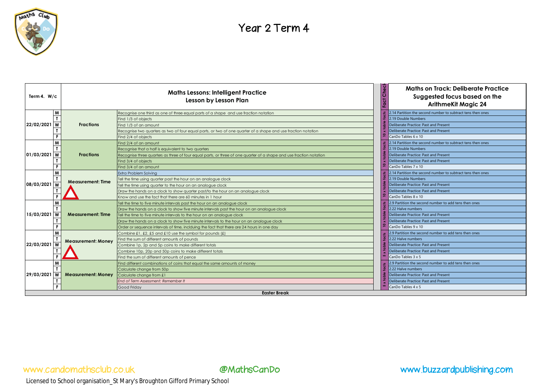

| Term 4. $W/c$              | <b>Maths Lessons: Intelligent Practice</b><br>Lesson by Lesson Plan |                                                                                                                                                                                                                                                                                                                                                                                                                                              | Check             | <b>Maths on Track: Deliberate Practice</b><br>Suggested focus based on the<br><b>ArithmeKit Magic 24</b>                                                                                    |
|----------------------------|---------------------------------------------------------------------|----------------------------------------------------------------------------------------------------------------------------------------------------------------------------------------------------------------------------------------------------------------------------------------------------------------------------------------------------------------------------------------------------------------------------------------------|-------------------|---------------------------------------------------------------------------------------------------------------------------------------------------------------------------------------------|
| M<br>22/02/2021<br>W<br>F  | <b>Fractions</b>                                                    | Recognise one third as one of three equal parts of a shape and use fraction notation<br>Find 1/3 of objects<br>Find 1/3 of an amount<br>Recognise two quarters as two of four equal parts, or two of one quarter of a shape and use fraction notation                                                                                                                                                                                        |                   | 2.14 Partition the second number to subtract tens then ones<br>2.19 Double Numbers<br>Deliberate Practice: Past and Present<br>Deliberate Practice: Past and Present<br>CanDo Tables 6 x 10 |
| M<br>01/03/2021<br>W<br>F  | <b>Fractions</b>                                                    | Find 2/4 of objects<br>Find 2/4 of an amount<br>Recognise that a half is equivalent to two quarters<br>Recognise three quarters as three of four equal parts, or three of one quarter of a shape and use fraction notation<br>Find 3/4 of objects<br>Find 3/4 of an amount                                                                                                                                                                   | $\frac{1}{2}$     | 2.14 Partition the second number to subtract tens then ones<br>2.19 Double Numbers<br>Deliberate Practice: Past and Present<br>Deliberate Practice: Past and Present<br>CanDo Tables 7 x 10 |
| W<br>08/03/2021<br>W       | <b>Measurement: Time</b>                                            | Extra Problem Solving<br>Tell the time using quarter past the hour on an analogue clock<br>Tell the time using quarter to the hour on an analogue clock<br>Draw the hands on a clock to show quarter past/to the hour on an analogue clock<br>Know and use the fact that there are 60 minutes in 1 hour                                                                                                                                      |                   | 2.14 Partition the second number to subtract tens then ones<br>2.19 Double Numbers<br>Deliberate Practice: Past and Present<br>Deliberate Practice: Past and Present<br>CanDo Tables 8 x 10 |
| W<br>15/03/2021<br>W<br>F  | <b>Measurement: Time</b>                                            | Tell the time to five minute intervals past the hour on an analogue clock<br>Draw the hands on a clock to show five minute intervals past the hour on an analogue clock<br>Tell the time to five minute intervals to the hour on an analogue clock<br>Draw the hands on a clock to show five minute intervals to the hour on an analogue clock<br>Order or sequence intervals of time, inclduing the fact that there are 24 hours in one day | $\mathbf{z}$<br>₽ | 2.9 Partition the second number to add tens then ones<br>2.22 Halve numbers<br>Deliberate Practice: Past and Present<br>Deliberate Practice: Past and Present<br>CanDo Tables 9 x 10        |
| W<br>22/03/2021<br>W       | <b>Measurement: Money</b>                                           | Combine £1, £2, £5 and £10 use the symbol for pounds (£)<br>Find the sum of different amounts of pounds<br>Combine 1p, 2p and 5p coins to make different totals<br>Combine 10p, 20p and 50p coins to make different totals<br>Find the sum of different amounts of pence                                                                                                                                                                     |                   | 2.9 Partition the second number to add tens then ones<br>2.22 Halve numbers<br>Deliberate Practice: Past and Present<br>Deliberate Practice: Past and Present<br>CanDo Tables 3 x 5         |
| M<br>29/03/2021<br>W<br>F. | <b>Measurement: Money</b>                                           | Find different combinations of coins that equal the same amounts of money<br>Calculate change from 50p<br>Calculate change from £1<br>End of Term Assessment: Remember It<br>Good Friday                                                                                                                                                                                                                                                     |                   | 2.9 Partition the second number to add tens then ones<br>2.22 Halve numbers<br>Deliberate Practice: Past and Present<br>Deliberate Practice: Past and Present<br>CanDo Tables 4 x 5         |
|                            |                                                                     | <b>Easter Break</b>                                                                                                                                                                                                                                                                                                                                                                                                                          |                   |                                                                                                                                                                                             |
|                            |                                                                     |                                                                                                                                                                                                                                                                                                                                                                                                                                              |                   |                                                                                                                                                                                             |
|                            | www.candomathsclub.co.uk                                            | <b>@MathsCanDo</b>                                                                                                                                                                                                                                                                                                                                                                                                                           |                   | www.buzzardpublishing.com                                                                                                                                                                   |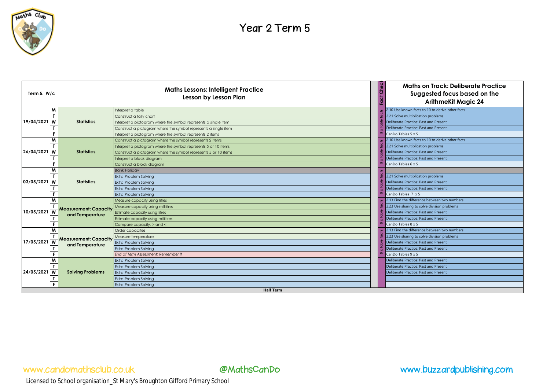

| Term 5. $W/c$    |                               | <b>Maths Lessons: Intelligent Practice</b><br>Lesson by Lesson Plan | Maths on Track: Deliberate Practice<br>Suggested focus based on the<br><b>ArithmeKit Magic 24</b> |  |
|------------------|-------------------------------|---------------------------------------------------------------------|---------------------------------------------------------------------------------------------------|--|
|                  | M                             | Interpret a table                                                   | 2.10 Use known facts to 10 to derive other facts                                                  |  |
|                  |                               | Construct a tally chart                                             | 2.21 Solve multiplication problems                                                                |  |
| 19/04/2021       | <b>W</b><br><b>Statistics</b> | Interpret a pictogram where the symbol represents a single item     | Deliberate Practice: Past and Present                                                             |  |
|                  |                               | Construct a pictogram where the symbol represents a single item     | Deliberate Practice: Past and Present                                                             |  |
|                  | F                             | Interpret a pictogram where the symbol represents 2 items           | CanDo Tables 5 x 5                                                                                |  |
|                  | M                             | Construct a pictogram where the symbol represents 2 items           | 2.10 Use known facts to 10 to derive other facts                                                  |  |
|                  |                               | Interpret a pictogram where the symbol represents 5 or 10 items     | 2.21 Solve multiplication problems                                                                |  |
| 26/04/2021       | W<br><b>Statistics</b>        | Construct a pictogram where the symbol represents 5 or 10 items     | Deliberate Practice: Past and Present                                                             |  |
|                  |                               | Interpret a block diagram                                           | Deliberate Practice: Past and Present                                                             |  |
|                  |                               | Construct a block diagram                                           | CanDo Tables 6 x 5                                                                                |  |
|                  | M                             | <b>Bank Holiday</b>                                                 |                                                                                                   |  |
|                  |                               | Extra Problem Solvina                                               | 2.21 Solve multiplication problems                                                                |  |
| 03/05/2021       | <b>W</b><br><b>Statistics</b> | <b>Extra Problem Solving</b>                                        | Deliberate Practice: Past and Present                                                             |  |
|                  |                               | <b>Extra Problem Solving</b>                                        | Deliberate Practice: Past and Present                                                             |  |
|                  |                               | Extra Problem Solvina                                               | CanDo Tables 7 x 5                                                                                |  |
|                  | M                             | Measure capacity using litres                                       | 2.13 Find the difference between two numbers                                                      |  |
|                  | <b>Measurement: Capacity</b>  | Measure capacity using millilitres                                  | 2.23 Use sharing to solve division problems                                                       |  |
| 10/05/2021       |                               | Estimate capacity using litres                                      | Deliberate Practice: Past and Present                                                             |  |
|                  | and Temperature               | Estimate capacity using millilitres                                 | Deliberate Practice: Past and Present                                                             |  |
|                  |                               | Compare capacity, > and <                                           | CanDo Tables 8 x 5                                                                                |  |
|                  | M                             | Order capacities                                                    | 2.13 Find the difference between two numbers                                                      |  |
|                  | <b>Measurement: Capacity</b>  | Measure temperature                                                 | 2.23 Use sharing to solve division problems                                                       |  |
| 17/05/2021       | W                             | Extra Problem Solving                                               | Deliberate Practice: Past and Present                                                             |  |
|                  | and Temperature               | Extra Problem Solving                                               | Deliberate Practice: Past and Present                                                             |  |
|                  |                               | End of Term Assessment: Remember It                                 | CanDo Tables 9 x 5                                                                                |  |
|                  | M                             | <b>Extra Problem Solving</b>                                        | Deliberate Practice: Past and Present                                                             |  |
| 24/05/2021       |                               | Extra Problem Solvina                                               | Deliberate Practice: Past and Present                                                             |  |
|                  | W<br><b>Solving Problems</b>  | Extra Problem Solving                                               | Deliberate Practice: Past and Present                                                             |  |
|                  |                               | <b>Extra Problem Solving</b>                                        |                                                                                                   |  |
|                  | F                             | Extra Problem Solvina                                               |                                                                                                   |  |
| <b>Half Term</b> |                               |                                                                     |                                                                                                   |  |

### www.candomathsclub.co.uk @MathsCanDo www.buzzardpublishing.com